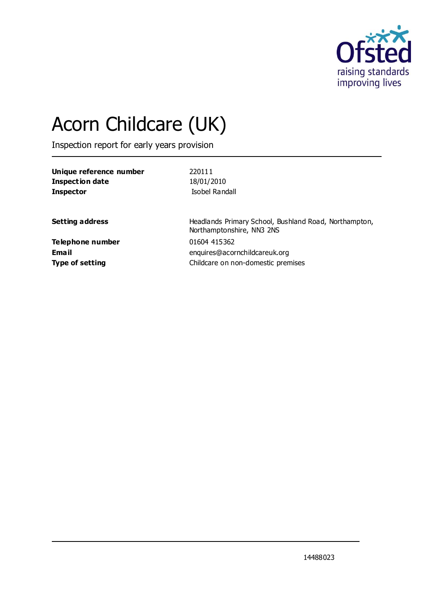

# Acorn Childcare (UK)

Inspection report for early years provision

| Unique reference number | 220111                                                                             |
|-------------------------|------------------------------------------------------------------------------------|
| Inspection date         | 18/01/2010                                                                         |
| <b>Inspector</b>        | Isobel Randall                                                                     |
| <b>Setting address</b>  | Headlands Primary School, Bushland Road, Northampton,<br>Northamptonshire, NN3 2NS |
| <b>Telephone number</b> | 01604 415362                                                                       |
| Email                   | enquires@acornchildcareuk.org                                                      |
| <b>Type of setting</b>  | Childcare on non-domestic premises                                                 |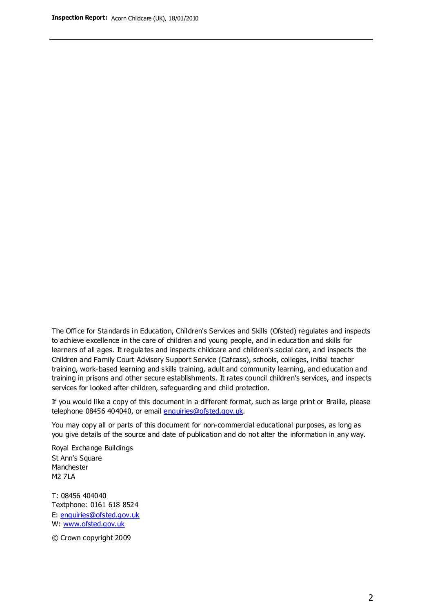The Office for Standards in Education, Children's Services and Skills (Ofsted) regulates and inspects to achieve excellence in the care of children and young people, and in education and skills for learners of all ages. It regulates and inspects childcare and children's social care, and inspects the Children and Family Court Advisory Support Service (Cafcass), schools, colleges, initial teacher training, work-based learning and skills training, adult and community learning, and education and training in prisons and other secure establishments. It rates council children's services, and inspects services for looked after children, safeguarding and child protection.

If you would like a copy of this document in a different format, such as large print or Braille, please telephone 08456 404040, or email enquiries@ofsted.gov.uk.

You may copy all or parts of this document for non-commercial educational purposes, as long as you give details of the source and date of publication and do not alter the information in any way.

Royal Exchange Buildings St Ann's Square Manchester M2 7LA

T: 08456 404040 Textphone: 0161 618 8524 E: enquiries@ofsted.gov.uk W: [www.ofsted.gov.uk](http://www.ofsted.gov.uk/)

© Crown copyright 2009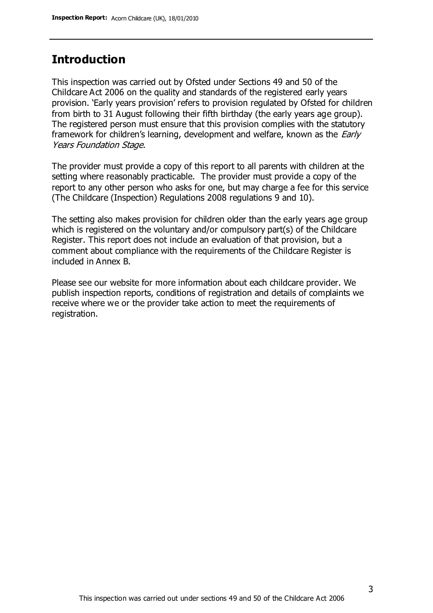#### **Introduction**

This inspection was carried out by Ofsted under Sections 49 and 50 of the Childcare Act 2006 on the quality and standards of the registered early years provision. 'Early years provision' refers to provision regulated by Ofsted for children from birth to 31 August following their fifth birthday (the early years age group). The registered person must ensure that this provision complies with the statutory framework for children's learning, development and welfare, known as the *Early* Years Foundation Stage.

The provider must provide a copy of this report to all parents with children at the setting where reasonably practicable. The provider must provide a copy of the report to any other person who asks for one, but may charge a fee for this service (The Childcare (Inspection) Regulations 2008 regulations 9 and 10).

The setting also makes provision for children older than the early years age group which is registered on the voluntary and/or compulsory part(s) of the Childcare Register. This report does not include an evaluation of that provision, but a comment about compliance with the requirements of the Childcare Register is included in Annex B.

Please see our website for more information about each childcare provider. We publish inspection reports, conditions of registration and details of complaints we receive where we or the provider take action to meet the requirements of registration.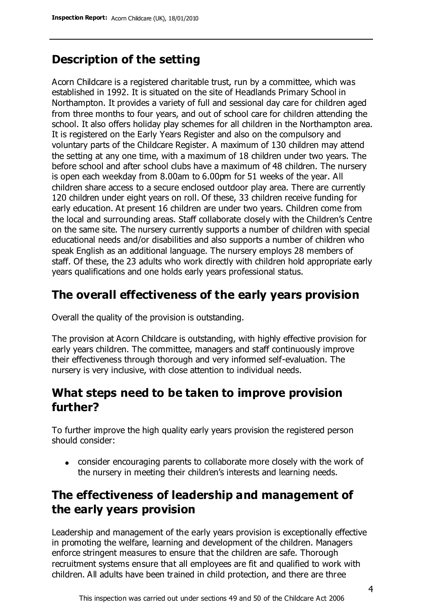## **Description of the setting**

Acorn Childcare is a registered charitable trust, run by a committee, which was established in 1992. It is situated on the site of Headlands Primary School in Northampton. It provides a variety of full and sessional day care for children aged from three months to four years, and out of school care for children attending the school. It also offers holiday play schemes for all children in the Northampton area. It is registered on the Early Years Register and also on the compulsory and voluntary parts of the Childcare Register. A maximum of 130 children may attend the setting at any one time, with a maximum of 18 children under two years. The before school and after school clubs have a maximum of 48 children. The nursery is open each weekday from 8.00am to 6.00pm for 51 weeks of the year. All children share access to a secure enclosed outdoor play area. There are currently 120 children under eight years on roll. Of these, 33 children receive funding for early education. At present 16 children are under two years. Children come from the local and surrounding areas. Staff collaborate closely with the Children's Centre on the same site. The nursery currently supports a number of children with special educational needs and/or disabilities and also supports a number of children who speak English as an additional language. The nursery employs 28 members of staff. Of these, the 23 adults who work directly with children hold appropriate early years qualifications and one holds early years professional status.

## **The overall effectiveness of the early years provision**

Overall the quality of the provision is outstanding.

The provision at Acorn Childcare is outstanding, with highly effective provision for early years children. The committee, managers and staff continuously improve their effectiveness through thorough and very informed self-evaluation. The nursery is very inclusive, with close attention to individual needs.

### **What steps need to be taken to improve provision further?**

To further improve the high quality early years provision the registered person should consider:

consider encouraging parents to collaborate more closely with the work of the nursery in meeting their children's interests and learning needs.

## **The effectiveness of leadership and management of the early years provision**

Leadership and management of the early years provision is exceptionally effective in promoting the welfare, learning and development of the children. Managers enforce stringent measures to ensure that the children are safe. Thorough recruitment systems ensure that all employees are fit and qualified to work with children. All adults have been trained in child protection, and there are three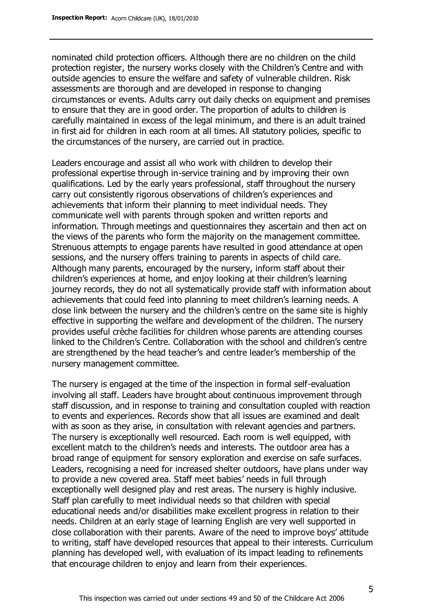nominated child protection officers. Although there are no children on the child protection register, the nursery works closely with the Children's Centre and with outside agencies to ensure the welfare and safety of vulnerable children. Risk assessments are thorough and are developed in response to changing circumstances or events. Adults carry out daily checks on equipment and premises to ensure that they are in good order. The proportion of adults to children is carefully maintained in excess of the legal minimum, and there is an adult trained in first aid for children in each room at all times. All statutory policies, specific to the circumstances of the nursery, are carried out in practice.

Leaders encourage and assist all who work with children to develop their professional expertise through in-service training and by improving their own qualifications. Led by the early years professional, staff throughout the nursery carry out consistently rigorous observations of children's experiences and achievements that inform their planning to meet individual needs. They communicate well with parents through spoken and written reports and information. Through meetings and questionnaires they ascertain and then act on the views of the parents who form the majority on the management committee. Strenuous attempts to engage parents have resulted in good attendance at open sessions, and the nursery offers training to parents in aspects of child care. Although many parents, encouraged by the nursery, inform staff about their children's experiences at home, and enjoy looking at their children's learning journey records, they do not all systematically provide staff with information about achievements that could feed into planning to meet children's learning needs. A close link between the nursery and the children's centre on the same site is highly effective in supporting the welfare and development of the children. The nursery provides useful crèche facilities for children whose parents are attending courses linked to the Children's Centre. Collaboration with the school and children's centre are strengthened by the head teacher's and centre leader's membership of the nursery management committee.

The nursery is engaged at the time of the inspection in formal self-evaluation involving all staff. Leaders have brought about continuous improvement through staff discussion, and in response to training and consultation coupled with reaction to events and experiences. Records show that all issues are examined and dealt with as soon as they arise, in consultation with relevant agencies and partners. The nursery is exceptionally well resourced. Each room is well equipped, with excellent match to the children's needs and interests. The outdoor area has a broad range of equipment for sensory exploration and exercise on safe surfaces. Leaders, recognising a need for increased shelter outdoors, have plans under way to provide a new covered area. Staff meet babies' needs in full through exceptionally well designed play and rest areas. The nursery is highly inclusive. Staff plan carefully to meet individual needs so that children with special educational needs and/or disabilities make excellent progress in relation to their needs. Children at an early stage of learning English are very well supported in close collaboration with their parents. Aware of the need to improve boys' attitude to writing, staff have developed resources that appeal to their interests. Curriculum planning has developed well, with evaluation of its impact leading to refinements that encourage children to enjoy and learn from their experiences.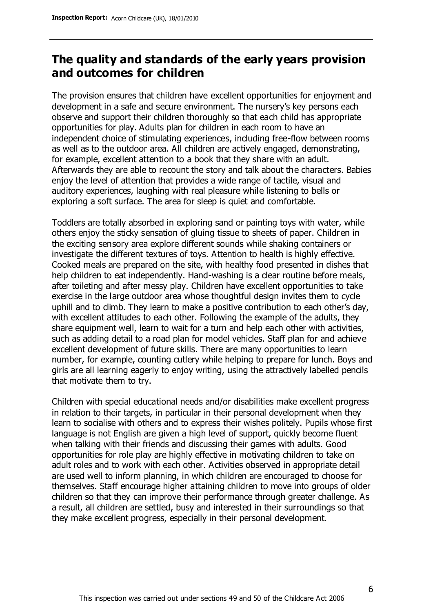### **The quality and standards of the early years provision and outcomes for children**

The provision ensures that children have excellent opportunities for enjoyment and development in a safe and secure environment. The nursery's key persons each observe and support their children thoroughly so that each child has appropriate opportunities for play. Adults plan for children in each room to have an independent choice of stimulating experiences, including free-flow between rooms as well as to the outdoor area. All children are actively engaged, demonstrating, for example, excellent attention to a book that they share with an adult. Afterwards they are able to recount the story and talk about the characters. Babies enjoy the level of attention that provides a wide range of tactile, visual and auditory experiences, laughing with real pleasure while listening to bells or exploring a soft surface. The area for sleep is quiet and comfortable.

Toddlers are totally absorbed in exploring sand or painting toys with water, while others enjoy the sticky sensation of gluing tissue to sheets of paper. Children in the exciting sensory area explore different sounds while shaking containers or investigate the different textures of toys. Attention to health is highly effective. Cooked meals are prepared on the site, with healthy food presented in dishes that help children to eat independently. Hand-washing is a clear routine before meals, after toileting and after messy play. Children have excellent opportunities to take exercise in the large outdoor area whose thoughtful design invites them to cycle uphill and to climb. They learn to make a positive contribution to each other's day, with excellent attitudes to each other. Following the example of the adults, they share equipment well, learn to wait for a turn and help each other with activities, such as adding detail to a road plan for model vehicles. Staff plan for and achieve excellent development of future skills. There are many opportunities to learn number, for example, counting cutlery while helping to prepare for lunch. Boys and girls are all learning eagerly to enjoy writing, using the attractively labelled pencils that motivate them to try.

Children with special educational needs and/or disabilities make excellent progress in relation to their targets, in particular in their personal development when they learn to socialise with others and to express their wishes politely. Pupils whose first language is not English are given a high level of support, quickly become fluent when talking with their friends and discussing their games with adults. Good opportunities for role play are highly effective in motivating children to take on adult roles and to work with each other. Activities observed in appropriate detail are used well to inform planning, in which children are encouraged to choose for themselves. Staff encourage higher attaining children to move into groups of older children so that they can improve their performance through greater challenge. As a result, all children are settled, busy and interested in their surroundings so that they make excellent progress, especially in their personal development.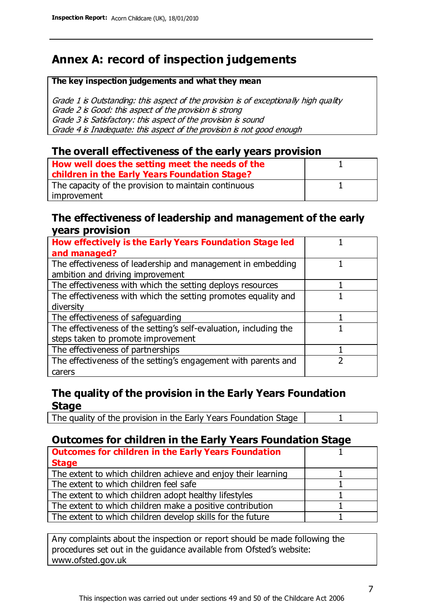## **Annex A: record of inspection judgements**

#### **The key inspection judgements and what they mean**

Grade 1 is Outstanding: this aspect of the provision is of exceptionally high quality Grade 2 is Good: this aspect of the provision is strong Grade 3 is Satisfactory: this aspect of the provision is sound Grade 4 is Inadequate: this aspect of the provision is not good enough

#### **The overall effectiveness of the early years provision**

| How well does the setting meet the needs of the<br>children in the Early Years Foundation Stage? |  |
|--------------------------------------------------------------------------------------------------|--|
| The capacity of the provision to maintain continuous                                             |  |
| improvement                                                                                      |  |

#### **The effectiveness of leadership and management of the early years provision**

| How effectively is the Early Years Foundation Stage led           |  |
|-------------------------------------------------------------------|--|
| and managed?                                                      |  |
| The effectiveness of leadership and management in embedding       |  |
| ambition and driving improvement                                  |  |
| The effectiveness with which the setting deploys resources        |  |
| The effectiveness with which the setting promotes equality and    |  |
| diversity                                                         |  |
| The effectiveness of safeguarding                                 |  |
| The effectiveness of the setting's self-evaluation, including the |  |
| steps taken to promote improvement                                |  |
| The effectiveness of partnerships                                 |  |
| The effectiveness of the setting's engagement with parents and    |  |
| carers                                                            |  |

#### **The quality of the provision in the Early Years Foundation Stage**

The quality of the provision in the Early Years Foundation Stage | 1

#### **Outcomes for children in the Early Years Foundation Stage**

| <b>Outcomes for children in the Early Years Foundation</b>    |  |
|---------------------------------------------------------------|--|
| <b>Stage</b>                                                  |  |
| The extent to which children achieve and enjoy their learning |  |
| The extent to which children feel safe                        |  |
| The extent to which children adopt healthy lifestyles         |  |
| The extent to which children make a positive contribution     |  |
| The extent to which children develop skills for the future    |  |

Any complaints about the inspection or report should be made following the procedures set out in the guidance available from Ofsted's website: www.ofsted.gov.uk